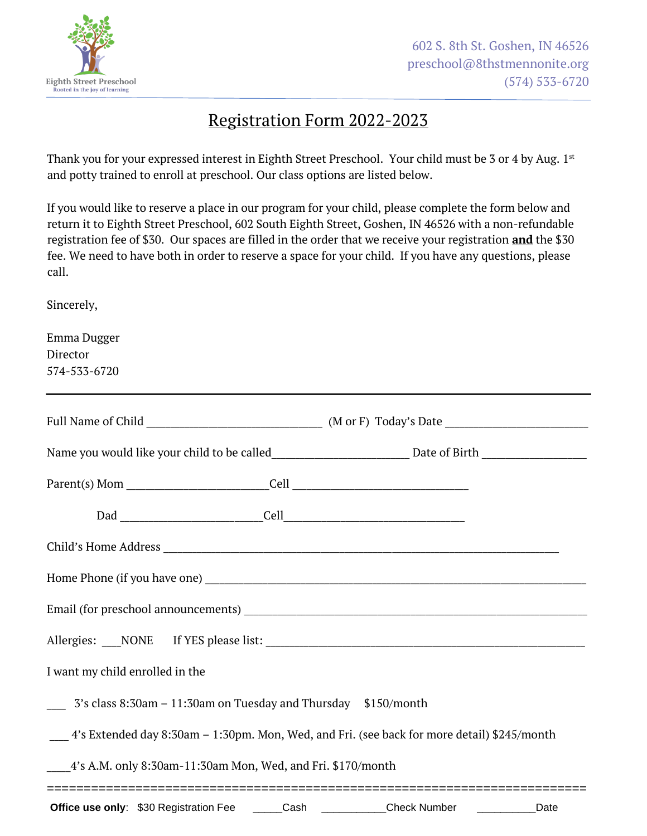

## Registration Form 2022-2023

Thank you for your expressed interest in Eighth Street Preschool. Your child must be 3 or 4 by Aug. 1st and potty trained to enroll at preschool. Our class options are listed below.

If you would like to reserve a place in our program for your child, please complete the form below and return it to Eighth Street Preschool, 602 South Eighth Street, Goshen, IN 46526 with a non-refundable registration fee of \$30. Our spaces are filled in the order that we receive your registration **and** the \$30 fee. We need to have both in order to reserve a space for your child. If you have any questions, please call.

Sincerely,

| Emma Dugger                                                                                                    |  |  |      |
|----------------------------------------------------------------------------------------------------------------|--|--|------|
| Director                                                                                                       |  |  |      |
| 574-533-6720                                                                                                   |  |  |      |
|                                                                                                                |  |  |      |
|                                                                                                                |  |  |      |
| Name you would like your child to be called__________________________________Date of Birth ___________________ |  |  |      |
|                                                                                                                |  |  |      |
|                                                                                                                |  |  |      |
|                                                                                                                |  |  |      |
|                                                                                                                |  |  |      |
|                                                                                                                |  |  |      |
|                                                                                                                |  |  |      |
| I want my child enrolled in the                                                                                |  |  |      |
| 3's class 8:30am - 11:30am on Tuesday and Thursday \$150/month                                                 |  |  |      |
| 4's Extended day 8:30am – 1:30pm. Mon, Wed, and Fri. (see back for more detail) \$245/month                    |  |  |      |
| 4's A.M. only 8:30am-11:30am Mon, Wed, and Fri. \$170/month<br>================================                |  |  |      |
| Office use only: \$30 Registration Fee _____Cash __________Check Number ________                               |  |  | Date |